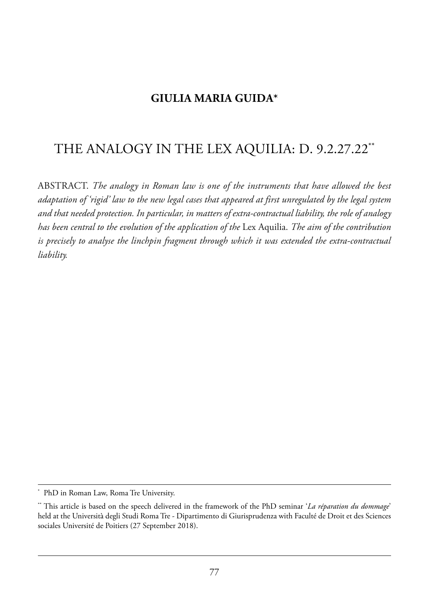## **GIULIA MARIA GUIDA\***

## the analoGY in the leX aQuilia: d. 9.2.27.22\*\*

aBstraCt. *The analogy in Roman law is one of the instruments that have allowed the best adaptation of 'rigid' law to the new legal cases that appeared at first unregulated by the legal system and that needed protection. In particular, in matters of extra-contractual liability, the role of analogy has been central to the evolution of the application of the* lex aquilia. *The aim of the contribution is precisely to analyse the linchpin fragment through which it was extended the extra-contractual liability.*

PhD in Roman Law, Roma Tre University.

<sup>\*\*</sup> This article is based on the speech delivered in the framework of the PhD seminar '*La réparation du dommage*' held at the Università degli Studi Roma Tre - Dipartimento di Giurisprudenza with Faculté de Droit et des Sciences sociales Université de Poitiers (27 September 2018).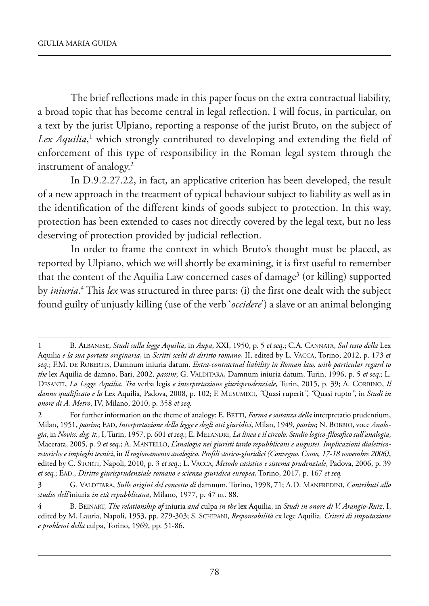The brief reflections made in this paper focus on the extra contractual liability, a broad topic that has become central in legal reflection. I will focus, in particular, on a text by the jurist Ulpiano, reporting a response of the jurist Bruto, on the subject of *Lex Aquilia*, <sup>1</sup> which strongly contributed to developing and extending the field of enforcement of this type of responsibility in the Roman legal system through the instrument of analogy.2

In D.9.2.27.22, in fact, an applicative criterion has been developed, the result of a new approach in the treatment of typical behaviour subject to liability as well as in the identification of the different kinds of goods subject to protection. in this way, protection has been extended to cases not directly covered by the legal text, but no less deserving of protection provided by judicial reflection.

In order to frame the context in which Bruto's thought must be placed, as reported by Ulpiano, which we will shortly be examining, it is first useful to remember that the content of the Aquilia Law concerned cases of damage<sup>3</sup> (or killing) supported by *iniuria*.<sup>4</sup> This *lex* was structured in three parts: (i) the first one dealt with the subject found guilty of unjustly killing (use of the verb '*occidere*') a slave or an animal belonging

<sup>1</sup> B. alBanese, *Studi sulla legge Aquilia*, in *Aupa*, XXi, 1950, p. 5 *et seq*.; C.a. Cannata, *Sul testo della* lex aquilia *e la sua portata originaria*, in *Scritti scelti di diritto romano*, ii, edited by l. VaCCa, torino, 2012, p. 173 *et seq*.; f.m. de roBertis, damnum iniuria datum. *Extra-contractual liability in Roman law, with particular regard to the* lex aquilia de damno, Bari, 2002, *passim*; G. Valditara, damnum iniuria datum, turin, 1996, p. 5 *et seq.*; l. desanti, *La Legge Aquilia. Tra* verba legis *e interpretazione giurisprudenziale*, turin, 2015, p. 39; a. CorBino, *Il danno qualificato e la* lex aquilia, padova, 2008, p. 102; f. musumeCi, *"*Quasi ruperit*", "*Quasi rupto*"*, in *Studi in onore di A. Metro*, iV, milano, 2010, p. 358 *et seq.*

<sup>2</sup> For further information on the theme of analogy: E. BETTI, *Forma e sostanza della* interpretatio prudentium, milan, 1951, *passim*; ead, *Interpretazione della legge e degli atti giuridici*, milan, 1949, *passim*; n. BoBBio, voce *Analogia*, in *Noviss. dig. it.*, i, turin, 1957, p. 601 *et seq*.; e. melandri, *La linea e il circolo. Studio logico-filosofico sull'analogia*, macerata, 2005, p. 9 *et seq*.; a. mantello, *L'analogia nei giuristi tardo repubblicani e augustei. Implicazioni dialetticoretoriche e impieghi tecnici*, in *Il ragionamento analogico. Profili storico-giuridici (Convegno. Como, 17-18 novembre 2006)*, edited by C. storti, napoli, 2010, p. 3 *et seq*.; l. VaCCa, *Metodo casistico e sistema prudenziale*, padova, 2006, p. 39 *et seq.*; ead., *Diritto giurisprudenziale romano e scienza giuridica europea*, torino, 2017, p. 167 *et seq.*

<sup>3</sup> G. Valditara, *Sulle origini del concetto di* damnum, torino, 1998, 71; a.d. manfredini, *Contributi allo studio dell'*iniuria *in età repubblicana*, milano, 1977, p. 47 nt. 88.

<sup>4</sup> B. Beinart, *The relationship of* iniuria *and* culpa *in the* lex aquilia, in *Studi in onore di V. Arangio-Ruiz*, i, edited by m. lauria, napoli, 1953, pp. 279-303; s. sChipani, *Responsabilità* ex lege aquilia. *Criteri di imputazione e problemi della* culpa, Torino, 1969, pp. 51-86.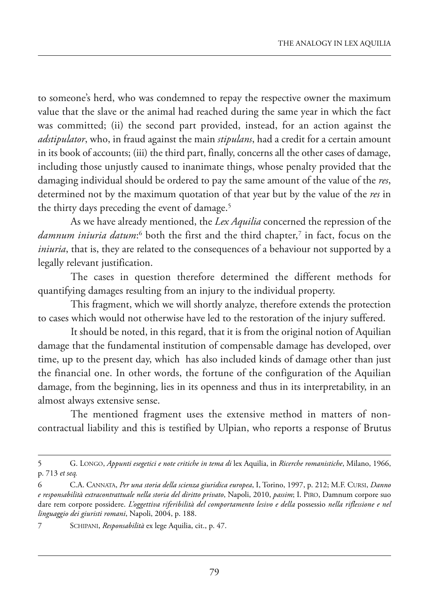to someone's herd, who was condemned to repay the respective owner the maximum value that the slave or the animal had reached during the same year in which the fact was committed; (ii) the second part provided, instead, for an action against the *adstipulator*, who, in fraud against the main *stipulans*, had a credit for a certain amount in its book of accounts; (iii) the third part, finally, concerns all the other cases of damage, including those unjustly caused to inanimate things, whose penalty provided that the damaging individual should be ordered to pay the same amount of the value of the *res*, determined not by the maximum quotation of that year but by the value of the *res* in the thirty days preceding the event of damage.<sup>5</sup>

As we have already mentioned, the *Lex Aquilia* concerned the repression of the *damnum iniuria datum*: <sup>6</sup> both the first and the third chapter,7 in fact, focus on the *iniuria*, that is, they are related to the consequences of a behaviour not supported by a legally relevant justification.

The cases in question therefore determined the different methods for quantifying damages resulting from an injury to the individual property.

This fragment, which we will shortly analyze, therefore extends the protection to cases which would not otherwise have led to the restoration of the injury suffered.

It should be noted, in this regard, that it is from the original notion of Aquilian damage that the fundamental institution of compensable damage has developed, over time, up to the present day, which has also included kinds of damage other than just the financial one. In other words, the fortune of the configuration of the Aquilian damage, from the beginning, lies in its openness and thus in its interpretability, in an almost always extensive sense.

The mentioned fragment uses the extensive method in matters of noncontractual liability and this is testified by Ulpian, who reports a response of Brutus

<sup>5</sup> G. lonGo, *Appunti esegetici e note critiche in tema di* lex aquilia, in *Ricerche romanistiche*, milano, 1966, p. 713 *et seq.*

<sup>6</sup> C.a. Cannata, *Per una storia della scienza giuridica europea*, i, torino, 1997, p. 212; m.f. Cursi, *Danno e responsabilità extracontrattuale nella storia del diritto privato*, napoli, 2010, *passim*; i. piro, damnum corpore suo dare rem corpore possidere. *L'oggettiva riferibilità del comportamento lesivo e della* possessio *nella riflessione e nel linguaggio dei giuristi romani*, Napoli, 2004, p. 188.

SCHIPANI, Responsabilità ex lege Aquilia, cit., p. 47.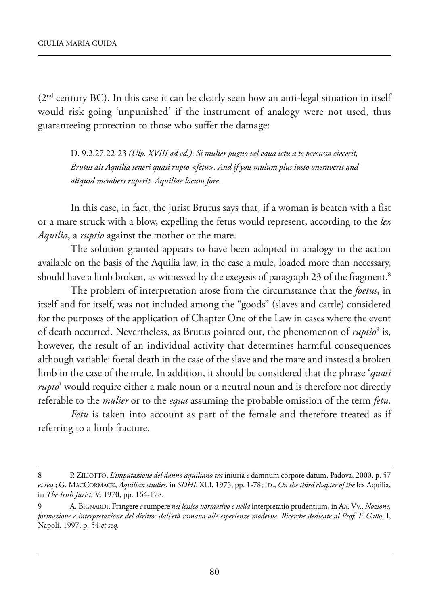(2<sup>nd</sup> century BC). In this case it can be clearly seen how an anti-legal situation in itself would risk going 'unpunished' if the instrument of analogy were not used, thus guaranteeing protection to those who suffer the damage:

d. 9.2.27.22-23 *(Ulp. XVIII ad ed.)*: *Si mulier pugno vel equa ictu a te percussa eiecerit, Brutus ait Aquilia teneri quasi rupto <fetu>. And if you mulum plus iusto oneraverit and aliquid members ruperit, Aquiliae locum fore*.

In this case, in fact, the jurist Brutus says that, if a woman is beaten with a fist or a mare struck with a blow, expelling the fetus would represent, according to the *lex Aquilia*, a *ruptio* against the mother or the mare.

The solution granted appears to have been adopted in analogy to the action available on the basis of the Aquilia law, in the case a mule, loaded more than necessary, should have a limb broken, as witnessed by the exegesis of paragraph 23 of the fragment.<sup>8</sup>

The problem of interpretation arose from the circumstance that the *foetus*, in itself and for itself, was not included among the "goods" (slaves and cattle) considered for the purposes of the application of Chapter One of the Law in cases where the event of death occurred. Nevertheless, as Brutus pointed out, the phenomenon of *ruptio*<sup>9</sup> is, however, the result of an individual activity that determines harmful consequences although variable: foetal death in the case of the slave and the mare and instead a broken limb in the case of the mule. in addition, it should be considered that the phrase '*quasi rupto*' would require either a male noun or a neutral noun and is therefore not directly referable to the *mulier* or to the *equa* assuming the probable omission of the term *fetu*.

*Fetu* is taken into account as part of the female and therefore treated as if referring to a limb fracture.

<sup>8</sup> p. Ziliotto, *L'imputazione del danno aquiliano tra* iniuria *e* damnum corpore datum, padova, 2000, p. 57 *et seq*.; G. maCCormaCk, *Aquilian studies*, in *SDHI*, Xli, 1975, pp. 1-78; id., *On the third chapter of the* lex aquilia, in *The Irish Jurist*, V, 1970, pp. 164-178.

<sup>9</sup> a. BiGnardi, frangere *e* rumpere *nel lessico normativo e nella* interpretatio prudentium, in aa. VV., *Nozione, formazione e interpretazione del diritto: dall'età romana alle esperienze moderne. Ricerche dedicate al Prof. F. Gallo*, i, napoli, 1997, p. 54 *et seq.*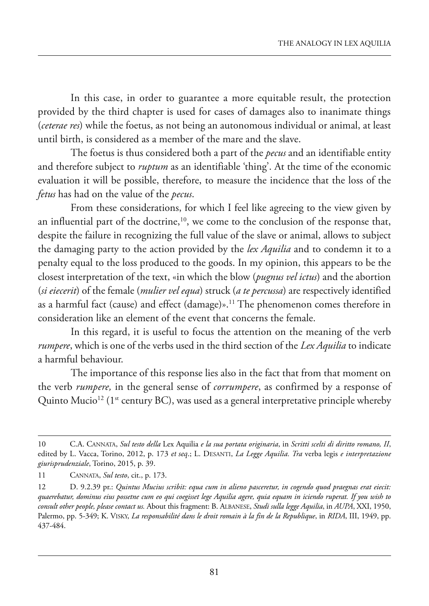In this case, in order to guarantee a more equitable result, the protection provided by the third chapter is used for cases of damages also to inanimate things (*ceterae res*) while the foetus, as not being an autonomous individual or animal, at least until birth, is considered as a member of the mare and the slave.

the foetus is thus considered both a part of the *pecus* and an identifiable entity and therefore subject to *ruptum* as an identifiable 'thing'. At the time of the economic evaluation it will be possible, therefore, to measure the incidence that the loss of the *fetus* has had on the value of the *pecus*.

from these considerations, for which i feel like agreeing to the view given by an influential part of the doctrine, $10$ , we come to the conclusion of the response that, despite the failure in recognizing the full value of the slave or animal, allows to subject the damaging party to the action provided by the *lex Aquilia* and to condemn it to a penalty equal to the loss produced to the goods. in my opinion, this appears to be the closest interpretation of the text, «in which the blow (*pugnus vel ictus*) and the abortion (*si eiecerit*) of the female (*mulier vel equa*) struck (*a te percussa*) are respectively identified as a harmful fact (cause) and effect (damage)».<sup>11</sup> The phenomenon comes therefore in consideration like an element of the event that concerns the female.

In this regard, it is useful to focus the attention on the meaning of the verb *rumpere*, which is one of the verbs used in the third section of the *Lex Aquilia* to indicate a harmful behaviour.

The importance of this response lies also in the fact that from that moment on the verb *rumpere,* in the general sense of *corrumpere*, as confirmed by a response of Quinto Mucio<sup>12</sup> (1<sup>st</sup> century BC), was used as a general interpretative principle whereby

<sup>10</sup> C.a. Cannata, *Sul testo della* lex aquilia *e la sua portata originaria*, in *Scritti scelti di diritto romano, II*, edited by L. Vacca, Torino, 2012, p. 173 et seq.; L. DESANTI, *La Legge Aquilia. Tra* verba legis e interpretazione *giurisprudenziale*, torino, 2015, p. 39.

<sup>11</sup> Cannata, *Sul testo*, cit., p. 173.

<sup>12</sup> d. 9.2.39 pr.: *Quintus Mucius scribit: equa cum in alieno pasceretur, in cogendo quod praegnas erat eiecit: quaerebatur, dominus eius possetne cum eo qui coegisset lege Aquilia agere, quia equam in iciendo ruperat. If you wish to consult other people, please contact us.* about this fragment: B. alBanese, *Studi sulla legge Aquilia*, in *AUPA*, XXi, 1950, Palermo, pp. 5-349; K. Visky, *La responsabilité dans le droit romain à la fin de la Republique*, in *RIDA*, III, 1949, pp. 437-484.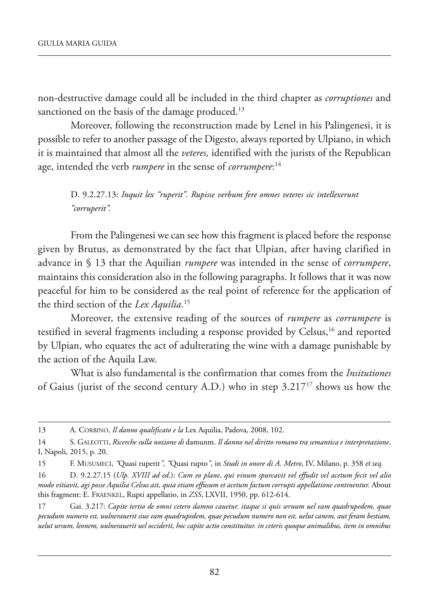non-destructive damage could all be included in the third chapter as *corruptiones* and sanctioned on the basis of the damage produced.<sup>13</sup>

Moreover, following the reconstruction made by Lenel in his Palingenesi, it is possible to refer to another passage of the Digesto, always reported by Ulpiano, in which it is maintained that almost all the *veteres*, identified with the jurists of the Republican age, intended the verb *rumpere* in the sense of *corrumpere*: 14

D. 9.2.27.13: *Inquit lex "ruperit". Rupisse verbum fere omnes veteres sic intellexerunt "corruperit".*

from the palingenesi we can see how this fragment is placed before the response given by Brutus, as demonstrated by the fact that Ulpian, after having clarified in advance in § 13 that the Aquilian *rumpere* was intended in the sense of *corrumpere*, maintains this consideration also in the following paragraphs. it follows that it was now peaceful for him to be considered as the real point of reference for the application of the third section of the *Lex Aquilia*. 15

moreover, the extensive reading of the sources of *rumpere* as *corrumpere* is testified in several fragments including a response provided by Celsus,<sup>16</sup> and reported by Ulpian, who equates the act of adulterating the wine with a damage punishable by the action of the Aquila Law.

what is also fundamental is the confirmation that comes from the *Insitutiones* of Gaius (jurist of the second century A.D.) who in step  $3.217^{17}$  shows us how the

<sup>13</sup> A. CORBINO, *Il danno qualificato e la* Lex Aquilia, Padova, 2008, 102.

<sup>14</sup> s. Galeotti, *Ricerche sulla nozione di* damunm. *Il danno nel diritto romano tra semantica e interpretazione*, I, Napoli, 2015, p. 20.

<sup>15</sup> f. musumeCi, *"*Quasi ruperit*", "*Quasi rupto*"*, in *Studi in onore di A. Metro*, iV, milano, p. 358 *et seq.*

<sup>16</sup> d. 9.2.27.15 (*Ulp. XVIII ad ed.*): *Cum eo plane, qui vinum spurcavit vel effudit vel acetum fecit vel alio modo vitiavit, agi posse Aquilia Celsus ait, quia etiam effusum et acetum factum corrupti appellatione continentur.* about this fragment: E. FRAENKEL, Rupti appellatio, in *ZSS*, LXVII, 1950, pp. 612-614.

<sup>17</sup> Gai. 3.217: *Capite tertio de omni cetero damno cauetur. itaque si quis seruum uel eam quadrupedem, quae pecudum numero est, uulnerauerit siue eam quadrupedem, quae pecudum numero non est, uelut canem, aut feram bestiam, uelut ursum, leonem, uulnerauerit uel occiderit, hoc capite actio constituitur. in ceteris quoque animalibus, item in omnibus*